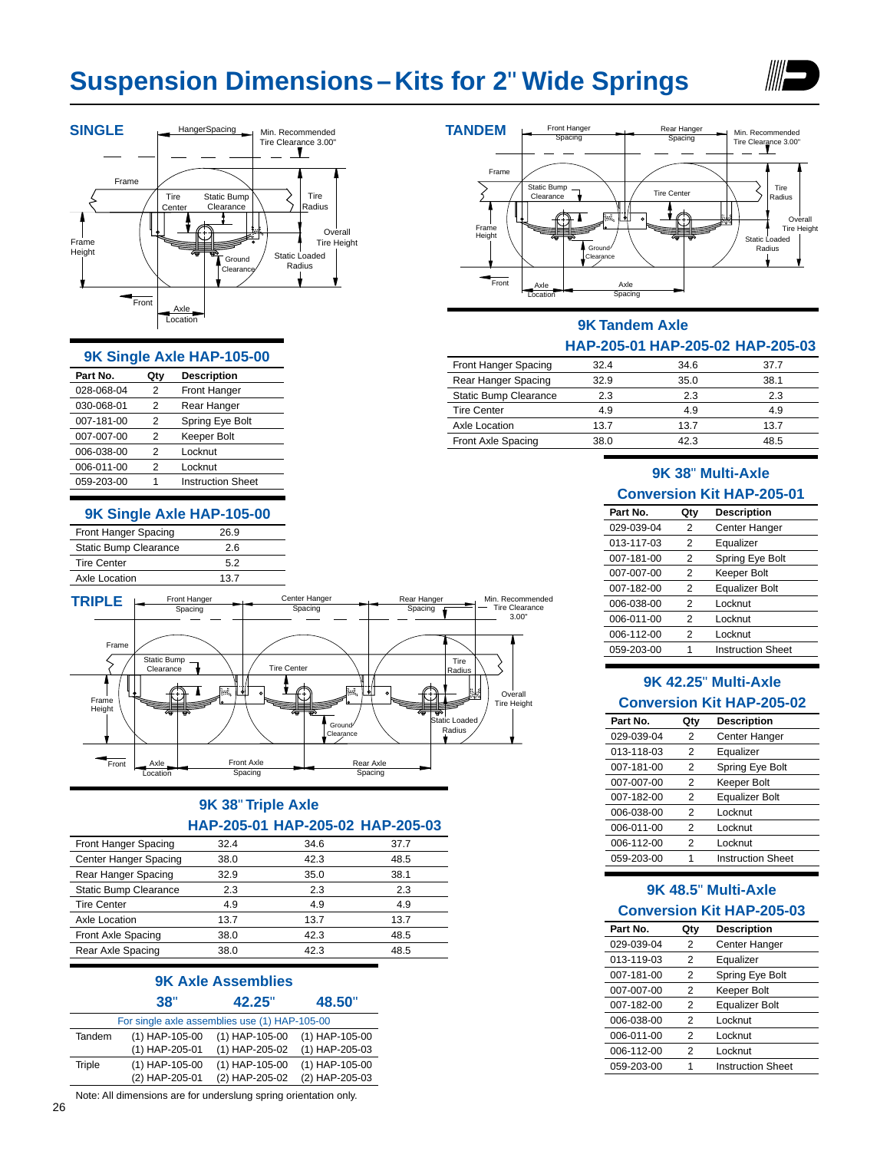# **Suspension Dimensions–Kits for 2**" **Wide Springs**





#### **9K Single Axle HAP-105-00**

| Part No.   | Qty | <b>Description</b>       |
|------------|-----|--------------------------|
| 028-068-04 | 2   | <b>Front Hanger</b>      |
| 030-068-01 | 2   | Rear Hanger              |
| 007-181-00 | 2   | Spring Eye Bolt          |
| 007-007-00 | 2   | Keeper Bolt              |
| 006-038-00 | 2   | Locknut                  |
| 006-011-00 | 2   | Locknut                  |
| 059-203-00 |     | <b>Instruction Sheet</b> |
|            |     |                          |

#### **9K Single Axle HAP-105-00**

| Front Hanger Spacing  | 26.9 |  |
|-----------------------|------|--|
| Static Bump Clearance | 26   |  |
| <b>Tire Center</b>    | 52   |  |
| Axle Location         | 13.7 |  |



# **9K 38**" **Triple Axle HAP-205-01 HAP-205-02 HAP-205-03**

| Front Hanger Spacing  | 32.4 | 34.6 | 37.7 |  |
|-----------------------|------|------|------|--|
| Center Hanger Spacing | 38.0 | 42.3 | 48.5 |  |
| Rear Hanger Spacing   | 32.9 | 35.0 | 38.1 |  |
| Static Bump Clearance | 2.3  | 2.3  | 2.3  |  |
| <b>Tire Center</b>    | 4.9  | 4.9  | 4.9  |  |
| Axle Location         | 13.7 | 13.7 | 13.7 |  |
| Front Axle Spacing    | 38.0 | 42.3 | 48.5 |  |
| Rear Axle Spacing     | 38.0 | 42.3 | 48.5 |  |
|                       |      |      |      |  |

#### **9K Axle Assemblies 38**" **42.25**" **48.50**"

|        | For single axle assemblies use (1) HAP-105-00 |                  |                  |
|--------|-----------------------------------------------|------------------|------------------|
| Tandem | $(1)$ HAP-105-00                              | $(1)$ HAP-105-00 | $(1)$ HAP-105-00 |
|        | (1) HAP-205-01                                | (1) HAP-205-02   | (1) HAP-205-03   |
| Triple | $(1)$ HAP-105-00                              | $(1)$ HAP-105-00 | $(1)$ HAP-105-00 |
|        | (2) HAP-205-01                                | (2) HAP-205-02   | (2) HAP-205-03   |

Note: All dimensions are for underslung spring orientation only.



# **9K Tandem Axle**

#### **HAP-205-01 HAP-205-02 HAP-205-03**

| Front Hanger Spacing  | 32.4 | 34.6 | 37.7 |
|-----------------------|------|------|------|
| Rear Hanger Spacing   | 32.9 | 35.0 | 38.1 |
| Static Bump Clearance | 2.3  | 2.3  | 2.3  |
| <b>Tire Center</b>    | 4.9  | 4.9  | 4.9  |
| Axle Location         | 13.7 | 13.7 | 13.7 |
| Front Axle Spacing    | 38.0 | 42.3 | 48.5 |

# **9K 38**" **Multi-Axle Conversion Kit HAP-205-01**

| Part No.   | Qty            | <b>Description</b>       |
|------------|----------------|--------------------------|
| 029-039-04 | 2              | <b>Center Hanger</b>     |
| 013-117-03 | 2              | Equalizer                |
| 007-181-00 | 2              | Spring Eye Bolt          |
| 007-007-00 | 2              | Keeper Bolt              |
| 007-182-00 | 2              | <b>Equalizer Bolt</b>    |
| 006-038-00 | 2              | Locknut                  |
| 006-011-00 | $\mathfrak{p}$ | Locknut                  |
| 006-112-00 | 2              | Locknut                  |
| 059-203-00 | 1              | <b>Instruction Sheet</b> |
|            |                |                          |

# **9K 42.25**" **Multi-Axle Conversion Kit HAP-205-02**

| Part No.   | Qty | <b>Description</b>       |
|------------|-----|--------------------------|
| 029-039-04 | 2   | <b>Center Hanger</b>     |
| 013-118-03 | 2   | Equalizer                |
| 007-181-00 | 2   | Spring Eye Bolt          |
| 007-007-00 | 2   | Keeper Bolt              |
| 007-182-00 | 2   | <b>Equalizer Bolt</b>    |
| 006-038-00 | 2   | Locknut                  |
| 006-011-00 | 2   | Locknut                  |
| 006-112-00 | 2   | Locknut                  |
| 059-203-00 | 1   | <b>Instruction Sheet</b> |
|            |     |                          |

# **9K 48.5**" **Multi-Axle**

#### **Conversion Kit HAP-205-03**

| Part No.   | Qty | <b>Description</b>       |
|------------|-----|--------------------------|
| 029-039-04 | 2   | <b>Center Hanger</b>     |
| 013-119-03 | 2   | Equalizer                |
| 007-181-00 | 2   | Spring Eye Bolt          |
| 007-007-00 | 2   | Keeper Bolt              |
| 007-182-00 | 2   | <b>Equalizer Bolt</b>    |
| 006-038-00 | 2   | Locknut                  |
| 006-011-00 | 2   | Locknut                  |
| 006-112-00 | 2   | Locknut                  |
| 059-203-00 | 1   | <b>Instruction Sheet</b> |
|            |     |                          |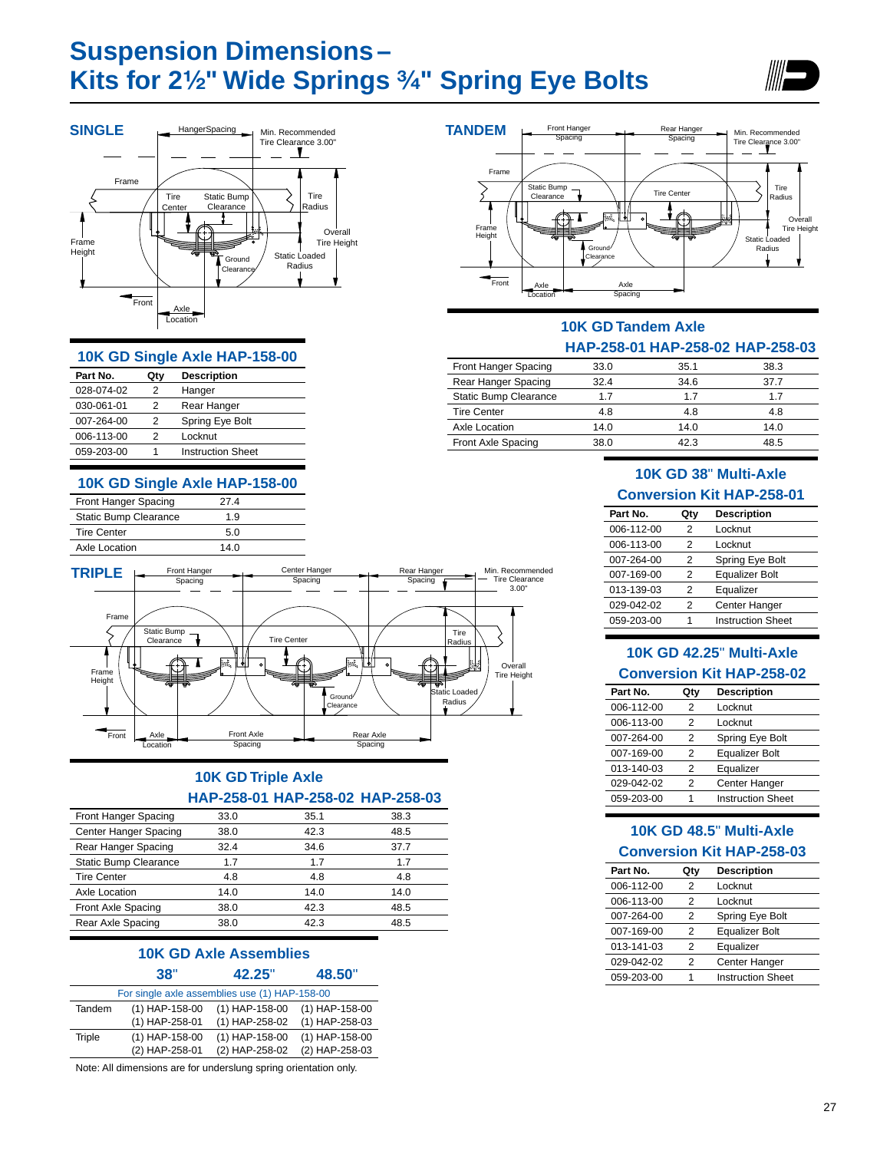# **Suspension Dimensions– Kits for 2¹⁄₂" Wide Springs ³⁄₄" Spring Eye Bolts**





#### **10K GD Single Axle HAP-158-00**

| Part No.   | Qty | <b>Description</b>       |
|------------|-----|--------------------------|
| 028-074-02 | 2   | Hanger                   |
| 030-061-01 | 2   | Rear Hanger              |
| 007-264-00 | 2   | Spring Eye Bolt          |
| 006-113-00 | 2   | Locknut                  |
| 059-203-00 | 1   | <b>Instruction Sheet</b> |
|            |     |                          |

# **10K GD Single Axle HAP-158-00**

| Front Hanger Spacing  | 27 4 |  |
|-----------------------|------|--|
| Static Bump Clearance | 1.9  |  |
| <b>Tire Center</b>    | 50   |  |
| Axle Location         | 14 N |  |
|                       |      |  |



# **10K GD Triple Axle HAP-258-01 HAP-258-02 HAP-258-03**

| Front Hanger Spacing  | 33.0 | 35.1 | 38.3 |
|-----------------------|------|------|------|
| Center Hanger Spacing | 38.0 | 42.3 | 48.5 |
| Rear Hanger Spacing   | 32.4 | 34.6 | 37.7 |
| Static Bump Clearance | 1.7  | 1.7  | 1.7  |
| <b>Tire Center</b>    | 4.8  | 4.8  | 4.8  |
| Axle Location         | 14.0 | 14.0 | 14.0 |
| Front Axle Spacing    | 38.0 | 42.3 | 48.5 |
| Rear Axle Spacing     | 38.0 | 42.3 | 48.5 |
|                       |      |      |      |

### **10K GD Axle Assemblies 38**" **42.25**" **48.50**"

| For single axle assemblies use (1) HAP-158-00 |                  |                  |                  |  |
|-----------------------------------------------|------------------|------------------|------------------|--|
| Tandem                                        | $(1)$ HAP-158-00 | $(1)$ HAP-158-00 | $(1)$ HAP-158-00 |  |
|                                               | $(1)$ HAP-258-01 | (1) HAP-258-02   | $(1)$ HAP-258-03 |  |
| Triple                                        | $(1)$ HAP-158-00 | $(1)$ HAP-158-00 | $(1)$ HAP-158-00 |  |
|                                               | (2) HAP-258-01   | (2) HAP-258-02   | (2) HAP-258-03   |  |

Note: All dimensions are for underslung spring orientation only.



# **10K GD Tandem Axle HAP-258-01 HAP-258-02 HAP-258-03**

| Front Hanger Spacing         | 33.0 | 35.1 | 38.3 |
|------------------------------|------|------|------|
| Rear Hanger Spacing          | 32.4 | 34.6 | 37 7 |
| <b>Static Bump Clearance</b> | 17   | 17   | 17   |
| <b>Tire Center</b>           | 4.8  | 4.8  | 4.8  |
| Axle Location                | 14.0 | 14.0 | 14.0 |
| Front Axle Spacing           | 38.0 | 42 3 | 48.5 |

# **10K GD 38**" **Multi-Axle Conversion Kit HAP-258-01**

| Part No.   | Qty | <b>Description</b>       |
|------------|-----|--------------------------|
| 006-112-00 | 2   | Locknut                  |
| 006-113-00 | 2   | Locknut                  |
| 007-264-00 | 2   | Spring Eye Bolt          |
| 007-169-00 | 2   | <b>Equalizer Bolt</b>    |
| 013-139-03 | 2   | Equalizer                |
| 029-042-02 | 2   | <b>Center Hanger</b>     |
| 059-203-00 | 1   | <b>Instruction Sheet</b> |
|            |     |                          |

# **10K GD 42.25**" **Multi-Axle Conversion Kit HAP-258-02**

| Part No.   | Qty | <b>Description</b>       |
|------------|-----|--------------------------|
| 006-112-00 | 2   | Locknut                  |
| 006-113-00 | 2   | Locknut                  |
| 007-264-00 | 2   | Spring Eye Bolt          |
| 007-169-00 | 2   | <b>Equalizer Bolt</b>    |
| 013-140-03 | 2   | Equalizer                |
| 029-042-02 | 2   | <b>Center Hanger</b>     |
| 059-203-00 | 1   | <b>Instruction Sheet</b> |
|            |     |                          |

# **10K GD 48.5**" **Multi-Axle Conversion Kit HAP-258-03**

| Part No.   | Qty            | <b>Description</b>       |
|------------|----------------|--------------------------|
| 006-112-00 | 2              | Locknut                  |
| 006-113-00 | $\mathfrak{p}$ | Locknut                  |
| 007-264-00 | 2              | Spring Eye Bolt          |
| 007-169-00 | 2              | <b>Equalizer Bolt</b>    |
| 013-141-03 | 2              | Equalizer                |
| 029-042-02 | 2              | <b>Center Hanger</b>     |
| 059-203-00 | 1              | <b>Instruction Sheet</b> |